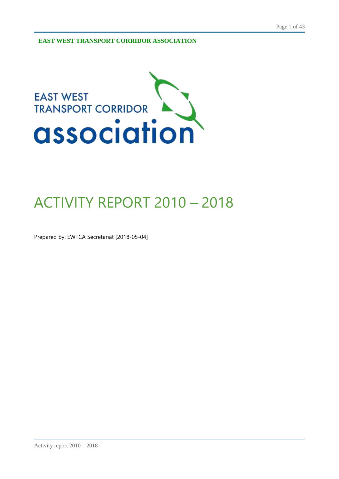**EAST WEST TRANSPORT CORRIDOR ASSOCIATION**



# ACTIVITY REPORT 2010 – 2018

Prepared by: EWTCA Secretariat [2018-05-04]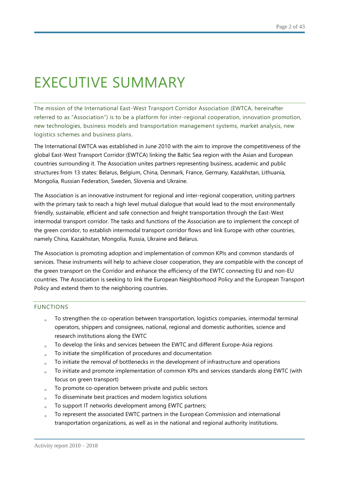# EXECUTIVE SUMMARY

The mission of the International East-West Transport Corridor Association (EWTCA, hereinafter referred to as "Association") is to be a platform for inter -regional cooperation, innovation promotion, new technologies, business models and transportation management systems, market analysis, new logistics schemes and business plans.

The International EWTCA was established in June 2010 with the aim to improve the competitiveness of the global East-West Transport Corridor (EWTCA) linking the Baltic Sea region with the Asian and European countries surrounding it. The Association unites partners representing business, academic and public structures from 13 states: Belarus, Belgium, China, Denmark, France, Germany, Kazakhstan, Lithuania, Mongolia, Russian Federation, Sweden, Slovenia and Ukraine.

The Association is an innovative instrument for regional and inter-regional cooperation, uniting partners with the primary task to reach a high level mutual dialogue that would lead to the most environmentally friendly, sustainable, efficient and safe connection and freight transportation through the East-West intermodal transport corridor. The tasks and functions of the Association are to implement the concept of the green corridor, to establish intermodal transport corridor flows and link Europe with other countries, namely China, Kazakhstan, Mongolia, Russia, Ukraine and Belarus.

The Association is promoting adoption and implementation of common KPIs and common standards of services. These instruments will help to achieve closer cooperation, they are compatible with the concept of the green transport on the Corridor and enhance the efficiency of the EWTC connecting EU and non-EU countries. The Association is seeking to link the European Neighborhood Policy and the European Transport Policy and extend them to the neighboring countries.

#### FUNCTIONS

- To strengthen the co-operation between transportation, logistics companies, intermodal terminal operators, shippers and consignees, national, regional and domestic authorities, science and research institutions along the EWTC
- To develop the links and services between the EWTC and different Europe-Asia regions
- To initiate the simplification of procedures and documentation
- To initiate the removal of bottlenecks in the development of infrastructure and operations
- To initiate and promote implementation of common KPIs and services standards along EWTC (with focus on green transport)
- To promote co-operation between private and public sectors
- To disseminate best practices and modern logistics solutions
- To support IT networks development among EWTC partners;
- To represent the associated EWTC partners in the European Commission and international transportation organizations, as well as in the national and regional authority institutions.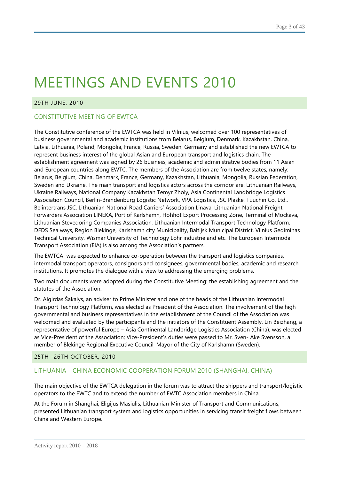#### 29TH JUNE, 2010

## CONSTITUTIVE MEETING OF EWTCA

The Constitutive conference of the EWTCA was held in Vilnius, welcomed over 100 representatives of business governmental and academic institutions from Belarus, Belgium, Denmark, Kazakhstan, China, Latvia, Lithuania, Poland, Mongolia, France, Russia, Sweden, Germany and established the new EWTCA to represent business interest of the global Asian and European transport and logistics chain. The establishment agreement was signed by 26 business, academic and administrative bodies from 11 Asian and European countries along EWTC. The members of the Association are from twelve states, namely: Belarus, Belgium, China, Denmark, France, Germany, Kazakhstan, Lithuania, Mongolia, Russian Federation, Sweden and Ukraine. The main transport and logistics actors across the corridor are: Lithuanian Railways, Ukraine Railways, National Company Kazakhstan Temyr Zholy, Asia Continental Landbridge Logistics Association Council, Berlin-Brandenburg Logistic Network, VPA Logistics, JSC Plaske, Tuuchin Co. Ltd., Belintertrans JSC, Lithuanian National Road Carriers' Association Linava, Lithuanian National Freight Forwarders Association LINEKA, Port of Karlshamn, Hohhot Export Processing Zone, Terminal of Mockava, Lithuanian Stevedoring Companies Association, Lithuanian Intermodal Transport Technology Platform, DFDS Sea ways, Region Blekinge, Karlshamn city Municipality, Baltijsk Municipal District, Vilnius Gediminas Technical University, Wismar University of Technology Lohr industrie and etc. The European Intermodal Transport Association (EIA) is also among the Association's partners.

The EWTCA was expected to enhance co-operation between the transport and logistics companies, intermodal transport operators, consignors and consignees, governmental bodies, academic and research institutions. It promotes the dialogue with a view to addressing the emerging problems.

Two main documents were adopted during the Constitutive Meeting: the establishing agreement and the statutes of the Association.

Dr. Algirdas Šakalys, an adviser to Prime Minister and one of the heads of the Lithuanian Intermodal Transport Technology Platform, was elected as President of the Association. The involvement of the high governmental and business representatives in the establishment of the Council of the Association was welcomed and evaluated by the participants and the initiators of the Constituent Assembly. Lin Beizhang, a representative of powerful Europe – Asia Continental Landbridge Logistics Association (China), was elected as Vice-President of the Association; Vice-President's duties were passed to Mr. Sven- Ake Svensson, a member of Blekinge Regional Executive Council, Mayor of the City of Karlshamn (Sweden).

#### 25TH -26TH OCTOBER, 2010

## LITHUANIA - CHINA ECONOMIC COOPERATION FORUM 2010 (SHANGHAI, CHINA)

The main objective of the EWTCA delegation in the forum was to attract the shippers and transport/logistic operators to the EWTC and to extend the number of EWTC Association members in China.

At the Forum in Shanghai, Eligijus Masiulis, Lithuanian Minister of Transport and Communications, presented Lithuanian transport system and logistics opportunities in servicing transit freight flows between China and Western Europe.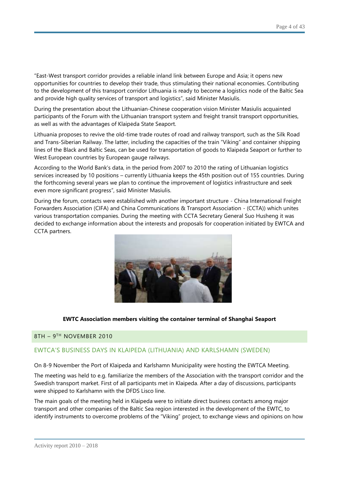"East-West transport corridor provides a reliable inland link between Europe and Asia; it opens new opportunities for countries to develop their trade, thus stimulating their national economies. Contributing to the development of this transport corridor Lithuania is ready to become a logistics node of the Baltic Sea and provide high quality services of transport and logistics", said Minister Masiulis.

During the presentation about the Lithuanian-Chinese cooperation vision Minister Masiulis acquainted participants of the Forum with the Lithuanian transport system and freight transit transport opportunities, as well as with the advantages of Klaipėda State Seaport.

Lithuania proposes to revive the old-time trade routes of road and railway transport, such as the Silk Road and Trans-Siberian Railway. The latter, including the capacities of the train "Viking" and container shipping lines of the Black and Baltic Seas, can be used for transportation of goods to Klaipėda Seaport or further to West European countries by European gauge railways.

According to the World Bank's data, in the period from 2007 to 2010 the rating of Lithuanian logistics services increased by 10 positions – currently Lithuania keeps the 45th position out of 155 countries. During the forthcoming several years we plan to continue the improvement of logistics infrastructure and seek even more significant progress", said Minister Masiulis.

During the forum, contacts were established with another important structure - China International Freight Forwarders Association (CIFA) and China Communications & Transport Association - (CCTA)) which unites various transportation companies. During the meeting with CCTA Secretary General Suo Husheng it was decided to exchange information about the interests and proposals for cooperation initiated by EWTCA and CCTA partners.



#### **EWTC Association members visiting the container terminal of Shanghai Seaport**

#### 8TH – 9<sup>th</sup> NOVEMBER 2010

#### EWTCA'S BUSINESS DAYS IN KLAIPEDA (LITHUANIA) AND KARLSHAMN (SWEDEN)

On 8-9 November the Port of Klaipeda and Karlshamn Municipality were hosting the EWTCA Meeting.

The meeting was held to e.g. familiarize the members of the Association with the transport corridor and the Swedish transport market. First of all participants met in Klaipeda. After a day of discussions, participants were shipped to Karlshamn with the DFDS Lisco line.

The main goals of the meeting held in Klaipeda were to initiate direct business contacts among major transport and other companies of the Baltic Sea region interested in the development of the EWTC, to identify instruments to overcome problems of the "Viking" project, to exchange views and opinions on how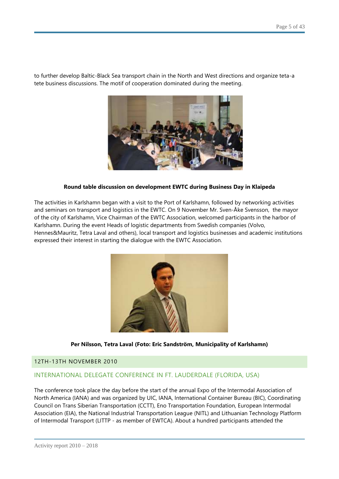to further develop Baltic-Black Sea transport chain in the North and West directions and organize teta-a tete business discussions. The motif of cooperation dominated during the meeting.



#### **Round table discussion on development EWTC during Business Day in Klaipeda**

The activities in Karlshamn began with a visit to the Port of Karlshamn, followed by networking activities and seminars on transport and logistics in the EWTC. On 9 November Mr. Sven-Åke Svensson, the mayor of the city of Karlshamn, Vice Chairman of the EWTC Association, welcomed participants in the harbor of Karlshamn. During the event Heads of logistic departments from Swedish companies (Volvo, Hennes&Mauritz, Tetra Laval and others), local transport and logistics businesses and academic institutions expressed their interest in starting the dialogue with the EWTC Association.



**Per Nilsson, Tetra Laval (Foto: Eric Sandström, Municipality of Karlshamn)**

#### 12TH-13TH NOVEMBER 2010

#### INTERNATIONAL DELEGATE CONFERENCE IN FT. LAUDERDALE (FLORIDA, USA)

The conference took place the day before the start of the annual Expo of the Intermodal Association of North America (IANA) and was organized by UIC, IANA, International Container Bureau (BIC), Coordinating Council on Trans Siberian Transportation (CCTT), Eno Transportation Foundation, European Intermodal Association (EIA), the National Industrial Transportation League (NITL) and Lithuanian Technology Platform of Intermodal Transport (LITTP - as member of EWTCA). About a hundred participants attended the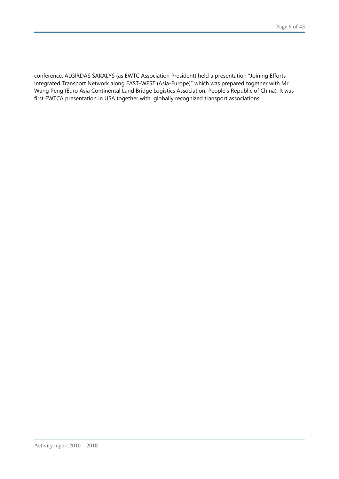conference. ALGIRDAS ŠAKALYS (as EWTC Association President) held a presentation "Joining Efforts Integrated Transport Network along EAST-WEST (Asia-Europe)" which was prepared together with Mr. Wang Peng (Euro Asia Continental Land Bridge Logistics Association, People's Republic of China). It was first EWTCA presentation in USA together with globally recognized transport associations.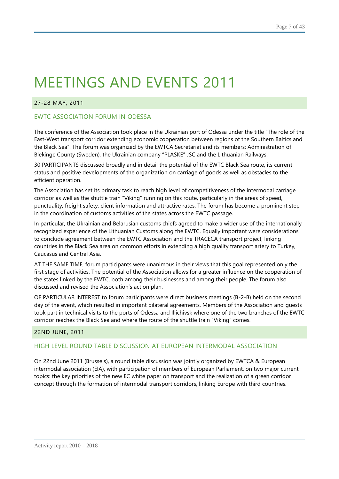### 27-28 MAY, 2011

## EWTC ASSOCIATION FORUM IN ODESSA

The conference of the Association took place in the Ukrainian port of Odessa under the title "The role of the East-West transport corridor extending economic cooperation between regions of the Southern Baltics and the Black Sea". The forum was organized by the EWTCA Secretariat and its members: Administration of Blekinge County (Sweden), the Ukrainian company "PLASKE" JSC and the Lithuanian Railways.

30 PARTICIPANTS discussed broadly and in detail the potential of the EWTC Black Sea route, its current status and positive developments of the organization on carriage of goods as well as obstacles to the efficient operation.

The Association has set its primary task to reach high level of competitiveness of the intermodal carriage corridor as well as the shuttle train "Viking" running on this route, particularly in the areas of speed, punctuality, freight safety, client information and attractive rates. The forum has become a prominent step in the coordination of customs activities of the states across the EWTC passage.

In particular, the Ukrainian and Belarusian customs chiefs agreed to make a wider use of the internationally recognized experience of the Lithuanian Customs along the EWTC. Equally important were considerations to conclude agreement between the EWTC Association and the TRACECA transport project, linking countries in the Black Sea area on common efforts in extending a high quality transport artery to Turkey, Caucasus and Central Asia.

AT THE SAME TIME, forum participants were unanimous in their views that this goal represented only the first stage of activities. The potential of the Association allows for a greater influence on the cooperation of the states linked by the EWTC, both among their businesses and among their people. The forum also discussed and revised the Association's action plan.

OF PARTICULAR INTEREST to forum participants were direct business meetings (B-2-B) held on the second day of the event, which resulted in important bilateral agreements. Members of the Association and guests took part in technical visits to the ports of Odessa and Illichivsk where one of the two branches of the EWTC corridor reaches the Black Sea and where the route of the shuttle train "Viking" comes.

#### 22ND JUNE, 2011

#### HIGH LEVEL ROUND TABLE DISCUSSION AT EUROPEAN INTERMODAL ASSOCIATION

On 22nd June 2011 (Brussels), a round table discussion was jointly organized by EWTCA & European intermodal association (EIA), with participation of members of European Parliament, on two major current topics: the key priorities of the new EC white paper on transport and the realization of a green corridor concept through the formation of intermodal transport corridors, linking Europe with third countries.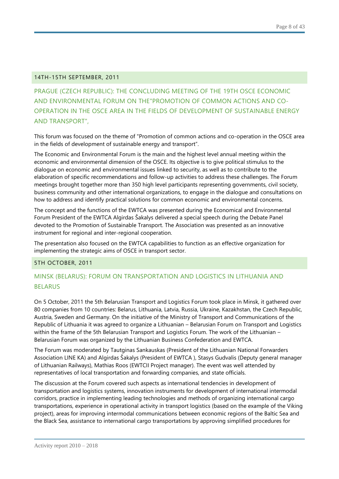#### 14TH-15TH SEPTEMBER, 2011

PRAGUE (CZECH REPUBLIC): THE CONCLUDING MEETING OF THE 19TH OSCE ECONOMIC AND ENVIRONMENTAL FORUM ON THE"PROMOTION OF COMMON ACTIONS AND CO-OPERATION IN THE OSCE AREA IN THE FIELDS OF DEVELOPMENT OF SUSTAINABLE ENERGY AND TRANSPORT",

This forum was focused on the theme of "Promotion of common actions and co-operation in the OSCE area in the fields of development of sustainable energy and transport".

The [Economic and Environmental Forum](http://www.osce.org/eea/43229) is the main and the highest level annual meeting within the economic and environmental dimension of the OSCE. Its objective is to give political stimulus to the dialogue on economic and environmental issues linked to security, as well as to contribute to the elaboration of specific recommendations and follow-up activities to address these challenges. The Forum meetings brought together more than 350 high level participants representing governments, civil society, business community and other international organizations, to engage in the dialogue and consultations on how to address and identify practical solutions for common economic and environmental concerns.

The concept and the functions of the EWTCA was presented during the Economical and Environmental Forum President of the EWTCA Algirdas Šakalys delivered a special speech during the Debate Panel devoted to the Promotion of Sustainable Transport. The Association was presented as an innovative instrument for regional and inter-regional cooperation.

The presentation also focused on the EWTCA capabilities to function as an effective organization for implementing the strategic aims of OSCE in transport sector.

#### 5TH OCTOBER, 2011

## MINSK (BELARUS): FORUM ON TRANSPORTATION AND LOGISTICS IN LITHUANIA AND BELARUS

On 5 October, 2011 the 5th Belarusian Transport and Logistics Forum took place in Minsk, it gathered over 80 companies from 10 countries: Belarus, Lithuania, Latvia, Russia, Ukraine, Kazakhstan, the Czech Republic, Austria, Sweden and Germany. On the initiative of the Ministry of Transport and Communications of the Republic of Lithuania it was agreed to organize a Lithuanian – Belarusian Forum on Transport and Logistics within the frame of the 5th Belarusian Transport and Logistics Forum. The work of the Lithuanian -Belarusian Forum was organized by the Lithuanian Business Confederation and EWTCA.

The Forum was moderated by Tautginas Sankauskas (President of the Lithuanian National Forwarders Association LINE KA) and Algirdas Šakalys (President of EWTCA ), Stasys Gudvalis (Deputy general manager of Lithuanian Railways), Mathias Roos (EWTCII Project manager). The event was well attended by representatives of local transportation and forwarding companies, and state officials.

The discussion at the Forum covered such aspects as international tendencies in development of transportation and logistics systems, innovation instruments for development of international intermodal corridors, practice in implementing leading technologies and methods of organizing international cargo transportations, experience in operational activity in transport logistics (based on the example of the Viking project), areas for improving intermodal communications between economic regions of the Baltic Sea and the Black Sea, assistance to international cargo transportations by approving simplified procedures for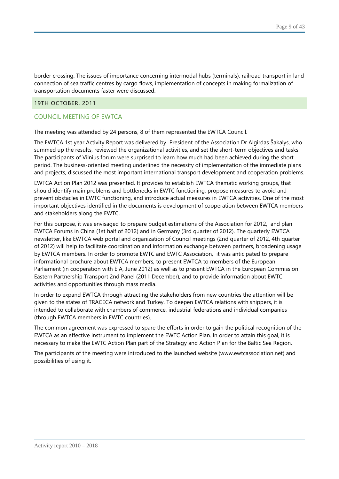border crossing. The issues of importance concerning intermodal hubs (terminals), railroad transport in land connection of sea traffic centres by cargo flows, implementation of concepts in making formalization of transportation documents faster were discussed.

#### 19TH OCTOBER, 2011

## COUNCIL MEETING OF EWTCA

The meeting was attended by 24 persons, 8 of them represented the EWTCA Council.

The EWTCA 1st year Activity Report was delivered by President of the Association Dr Algirdas Šakalys, who summed up the results, reviewed the organizational activities, and set the short-term objectives and tasks. The participants of Vilnius forum were surprised to learn how much had been achieved during the short period. The business-oriented meeting underlined the necessity of implementation of the immediate plans and projects, discussed the most important international transport development and cooperation problems.

EWTCA Action Plan 2012 was presented. It provides to establish EWTCA thematic working groups, that should identify main problems and bottlenecks in EWTC functioning, propose measures to avoid and prevent obstacles in EWTC functioning, and introduce actual measures in EWTCA activities. One of the most important objectives identified in the documents is development of cooperation between EWTCA members and stakeholders along the EWTC.

For this purpose, it was envisaged to prepare budget estimations of the Association for 2012, and plan EWTCA Forums in China (1st half of 2012) and in Germany (3rd quarter of 2012). The quarterly EWTCA newsletter, like EWTCA web portal and organization of Council meetings (2nd quarter of 2012, 4th quarter of 2012) will help to facilitate coordination and information exchange between partners, broadening usage by EWTCA members. In order to promote EWTC and EWTC Association, it was anticipated to prepare informational brochure about EWTCA members, to present EWTCA to members of the European Parliament (in cooperation with EIA, June 2012) as well as to present EWTCA in the European Commission Eastern Partnership Transport 2nd Panel (2011 December), and to provide information about EWTC activities and opportunities through mass media.

In order to expand EWTCA through attracting the stakeholders from new countries the attention will be given to the states of TRACECA network and Turkey. To deepen EWTCA relations with shippers, it is intended to collaborate with chambers of commerce, industrial federations and individual companies (through EWTCA members in EWTC countries).

The common agreement was expressed to spare the efforts in order to gain the political recognition of the EWTCA as an effective instrument to implement the EWTC Action Plan. In order to attain this goal, it is necessary to make the EWTC Action Plan part of the Strategy and Action Plan for the Baltic Sea Region.

The participants of the meeting were introduced to the launched website (www.ewtcassociation.net) and possibilities of using it.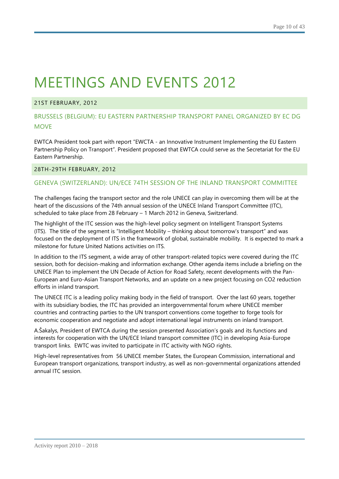## 21ST FEBRUARY, 2012

# BRUSSELS (BELGIUM): EU EASTERN PARTNERSHIP TRANSPORT PANEL ORGANIZED BY EC DG **MOVE**

EWTCA President took part with report "EWCTA - an Innovative Instrument Implementing the EU Eastern Partnership Policy on Transport". President proposed that EWTCA could serve as the Secretariat for the EU Eastern Partnership.

## 28TH-29TH FEBRUARY, 2012

## GENEVA (SWITZERLAND): UN/ECE 74TH SESSION OF THE INLAND TRANSPORT COMMITTEE

The challenges facing the transport sector and the role UNECE can play in overcoming them will be at the heart of the discussions of the [74th annual session of the UNECE Inland Transport Committee \(ITC\),](http://www.unece.org/trans/events/2012/itc74_2012.html) scheduled to take place from 28 February – 1 March 2012 in Geneva, Switzerland.

The highlight of the ITC session was the high-level policy segment on Intelligent Transport Systems (ITS). The title of the segment is "Intelligent Mobility – [thinking about tomorrow's transport"](http://www.unece.org/trans/events/2012/un_policy_segment_docs.html) and was focused on the deployment of ITS in the framework of global, sustainable mobility. It is expected to mark a milestone for future United Nations activities on ITS.

In addition to the ITS segment, a wide array of other transport-related topics were covered during the ITC session, both for decision-making and information exchange. Other agenda items include a briefing on the UNECE Plan to implement the UN Decade of Action for Road Safety, recent developments with the Pan-European and Euro-Asian Transport Networks, and an update on a new project focusing on CO2 reduction efforts in inland transport.

The UNECE ITC is a leading policy making body in the field of transport. Over the last 60 years, together with its subsidiary bodies, the ITC has provided an intergovernmental forum where UNECE member countries and contracting parties to the UN transport conventions come together to forge tools for economic cooperation and negotiate and adopt international legal instruments on inland transport.

A.Šakalys, President of EWTCA during the session presented Association's goals and its functions and interests for cooperation with the UN/ECE Inland transport committee (ITC) in developing Asia-Europe transport links. EWTC was invited to participate in ITC activity with NGO rights.

High-level representatives from 56 UNECE member States, the European Commission, international and European transport organizations, transport industry, as well as non-governmental organizations attended annual ITC session.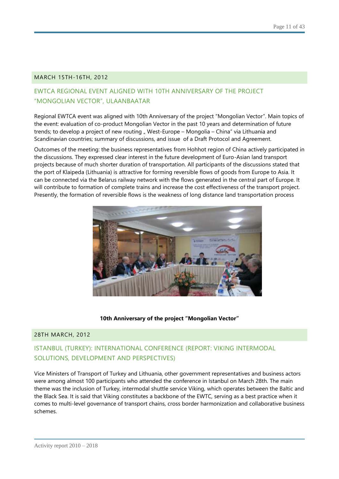#### MARCH 15TH-16TH, 2012

# EWTCA REGIONAL EVENT ALIGNED WITH 10TH ANNIVERSARY OF THE PROJECT "MONGOLIAN VECTOR", ULAANBAATAR

Regional EWTCA event was aligned with 10th Anniversary of the project "Mongolian Vector". Main topics of the event: evaluation of co-product Mongolian Vector in the past 10 years and determination of future trends; to develop a project of new routing " West-Europe – Mongolia – China" via Lithuania and Scandinavian countries; summary of discussions, and issue of a Draft Protocol and Agreement.

Outcomes of the meeting: the business representatives from Hohhot region of China actively participated in the discussions. They expressed clear interest in the future development of Euro-Asian land transport projects because of much shorter duration of transportation. All participants of the discussions stated that the port of Klaipeda (Lithuania) is attractive for forming reversible flows of goods from Europe to Asia. It can be connected via the Belarus railway network with the flows generated in the central part of Europe. It will contribute to formation of complete trains and increase the cost effectiveness of the transport project. Presently, the formation of reversible flows is the weakness of long distance land transportation process



#### **10th Anniversary of the project "Mongolian Vector"**

#### 28TH MARCH, 2012

# ISTANBUL (TURKEY): INTERNATIONAL CONFERENCE (REPORT: VIKING INTERMODAL SOLUTIONS, DEVELOPMENT AND PERSPECTIVES)

Vice Ministers of Transport of Turkey and Lithuania, other government representatives and business actors were among almost 100 participants who attended the conference in Istanbul on March 28th. The main theme was the inclusion of Turkey, intermodal shuttle service Viking, which operates between the Baltic and the Black Sea. It is said that Viking constitutes a backbone of the EWTC, serving as a best practice when it comes to multi-level governance of transport chains, cross border harmonization and collaborative business schemes.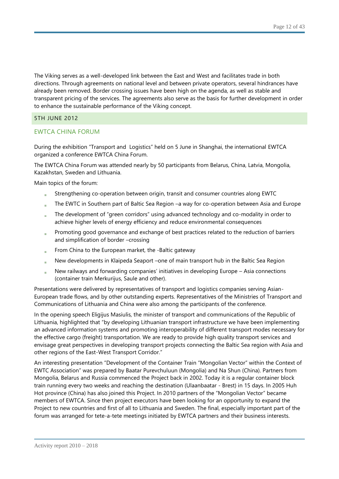The Viking serves as a well-developed link between the East and West and facilitates trade in both directions. Through agreements on national level and between private operators, several hindrances have already been removed. Border crossing issues have been high on the agenda, as well as stable and transparent pricing of the services. The agreements also serve as the basis for further development in order to enhance the sustainable performance of the Viking concept.

#### 5TH JUNE 2012

### EWTCA CHINA FORUM

During the exhibition "Transport and Logistics" held on 5 June in Shanghai, the international EWTCA organized a conference EWTCA China Forum.

The EWTCA China Forum was attended nearly by 50 participants from Belarus, China, Latvia, Mongolia, Kazakhstan, Sweden and Lithuania.

Main topics of the forum:

- Strengthening co-operation between origin, transit and consumer countries along EWTC
- The EWTC in Southern part of Baltic Sea Region –a way for co-operation between Asia and Europe
- The development of "green corridors" using advanced technology and co-modality in order to achieve higher levels of energy efficiency and reduce environmental consequences
- Promoting good governance and exchange of best practices related to the reduction of barriers and simplification of border –crossing
- From China to the European market, the -Baltic gateway
- New developments in Klaipeda Seaport –one of main transport hub in the Baltic Sea Region
- New railways and forwarding companies' initiatives in developing Europe Asia connections (container train Merkurijus, Saule and other).

Presentations were delivered by representatives of transport and logistics companies serving Asian-European trade flows, and by other outstanding experts. Representatives of the Ministries of Transport and Communications of Lithuania and China were also among the participants of the conference.

In the opening speech Eligijus Masiulis, the minister of transport and communications of the Republic of Lithuania, highlighted that "by developing Lithuanian transport infrastructure we have been implementing an advanced information systems and promoting interoperability of different transport modes necessary for the effective cargo (freight) transportation. We are ready to provide high quality transport services and envisage great perspectives in developing transport projects connecting the Baltic Sea region with Asia and other regions of the East-West Transport Corridor."

An interesting presentation "Development of the Container Train "Mongolian Vector" within the Context of EWTC Association" was prepared by Baatar Purevchuluun (Mongolia) and Na Shun (China). Partners from Mongolia, Belarus and Russia commenced the Project back in 2002. Today it is a regular container block train running every two weeks and reaching the destination (Ulaanbaatar - Brest) in 15 days. In 2005 Huh Hot province (China) has also joined this Project. In 2010 partners of the "Mongolian Vector" became members of EWTCA. Since then project executors have been looking for an opportunity to expand the Project to new countries and first of all to Lithuania and Sweden. The final, especially important part of the forum was arranged for tete-a-tete meetings initiated by EWTCA partners and their business interests.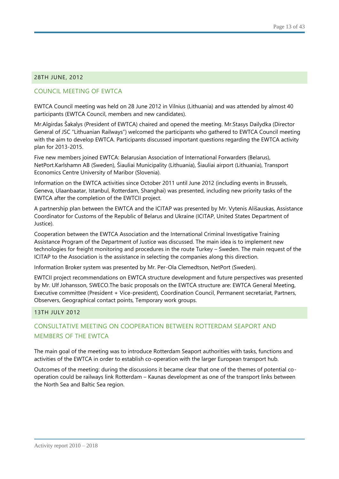### 28TH JUNE, 2012

## COUNCIL MEETING OF EWTCA

EWTCA Council meeting was held on 28 June 2012 in Vilnius (Lithuania) and was attended by almost 40 participants (EWTCA Council, members and new candidates).

Mr.Algirdas Šakalys (President of EWTCA) chaired and opened the meeting. Mr.Stasys Dailydka (Director General of JSC "Lithuanian Railways") welcomed the participants who gathered to EWTCA Council meeting with the aim to develop EWTCA. Participants discussed important questions regarding the EWTCA activity plan for 2013-2015.

Five new members joined EWTCA: Belarusian Association of International Forwarders (Belarus), NetPort.Karlshamn AB (Sweden), Šiauliai Municipality (Lithuania), Šiauliai airport (Lithuania), Transport Economics Centre University of Maribor (Slovenia).

Information on the EWTCA activities since October 2011 until June 2012 (including events in Brussels, Geneva, Ulaanbaatar, Istanbul, Rotterdam, Shanghai) was presented, including new priority tasks of the EWTCA after the completion of the EWTCII project.

A partnership plan between the EWTCA and the ICITAP was presented by Mr. Vytenis Ališauskas, Assistance Coordinator for Customs of the Republic of Belarus and Ukraine (ICITAP, United States Department of Justice).

Cooperation between the EWTCA Association and the International Criminal Investigative Training Assistance Program of the Department of Justice was discussed. The main idea is to implement new technologies for freight monitoring and procedures in the route Turkey – Sweden. The main request of the ICITAP to the Association is the assistance in selecting the companies along this direction.

Information Broker system was presented by Mr. Per-Ola Clemedtson, NetPort (Sweden).

EWTCII project recommendations on EWTCA structure development and future perspectives was presented by Mr. Ulf Johansson, SWECO.The basic proposals on the EWTCA structure are: EWTCA General Meeting, Executive committee (President + Vice-president), Coordination Council, Permanent secretariat, Partners, Observers, Geographical contact points, Temporary work groups.

#### 13TH JULY 2012

# CONSULTATIVE MEETING ON COOPERATION BETWEEN ROTTERDAM SEAPORT AND MEMBERS OF THE EWTCA

The main goal of the meeting was to introduce Rotterdam Seaport authorities with tasks, functions and activities of the EWTCA in order to establish co-operation with the larger European transport hub.

Outcomes of the meeting: during the discussions it became clear that one of the themes of potential cooperation could be railways link Rotterdam – Kaunas development as one of the transport links between the North Sea and Baltic Sea region.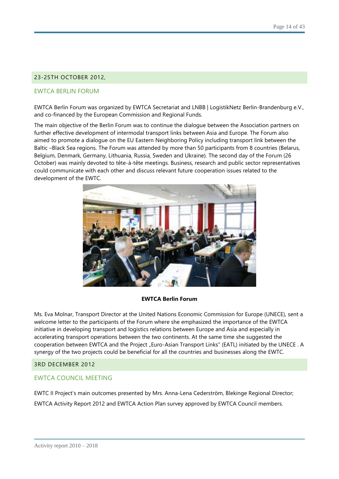## 23-25TH OCTOBER 2012,

### EWTCA BERLIN FORUM

EWTCA Berlin Forum was organized by EWTCA Secretariat and LNBB | LogistikNetz Berlin-Brandenburg e.V., and co-financed by the European Commission and Regional Funds.

The main objective of the Berlin Forum was to continue the dialogue between the Association partners on further effective development of intermodal transport links between Asia and Europe. The Forum also aimed to promote a dialogue on the EU Eastern Neighboring Policy including transport link between the Baltic –Black Sea regions. The Forum was attended by more than 50 participants from 8 countries (Belarus, Belgium, Denmark, Germany, Lithuania, Russia, Sweden and Ukraine). The second day of the Forum (26 October) was mainly devoted to tête-à-tête meetings. Business, research and public sector representatives could communicate with each other and discuss relevant future cooperation issues related to the development of the EWTC.



#### **EWTCA Berlin Forum**

Ms. Eva Molnar, Transport Director at the United Nations Economic Commission for Europe (UNECE), sent a welcome letter to the participants of the Forum where she emphasized the importance of the EWTCA initiative in developing transport and logistics relations between Europe and Asia and especially in accelerating transport operations between the two continents. At the same time she suggested the cooperation between EWTCA and the Project "Euro-Asian Transport Links" (EATL) initiated by the UNECE. A synergy of the two projects could be beneficial for all the countries and businesses along the EWTC.

#### 3RD DECEMBER 2012

#### EWTCA COUNCIL MEETING

EWTC II Project's main outcomes presented by Mrs. Anna-Lena Cederström, Blekinge Regional Director; EWTCA Activity Report 2012 and EWTCA Action Plan survey approved by EWTCA Council members.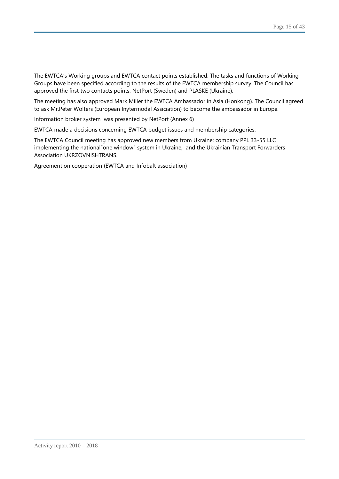The EWTCA's Working groups and EWTCA contact points established. The tasks and functions of Working Groups have been specified according to the results of the EWTCA membership survey. The Council has approved the first two contacts points: NetPort (Sweden) and PLASKE (Ukraine).

The meeting has also approved Mark Miller the EWTCA Ambassador in Asia (Honkong). The Council agreed to ask Mr.Peter Wolters (European Inytermodal Assiciation) to become the ambassador in Europe.

Information broker system was presented by NetPort (Annex 6)

EWTCA made a decisions concerning EWTCA budget issues and membership categories.

The EWTCA Council meeting has approved new members from Ukraine: company PPL 33-55 LLC implementing the national"one window" system in Ukraine, and the Ukrainian Transport Forwarders Association UKRZOVNISHTRANS.

Agreement on cooperation (EWTCA and Infobalt association)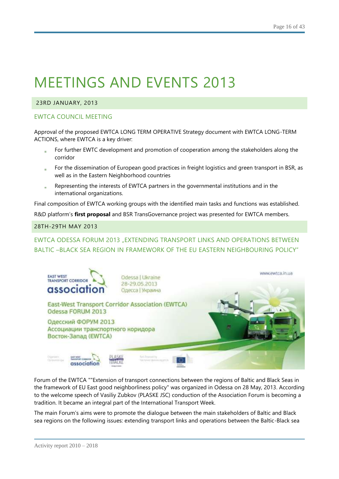## 23RD JANUARY, 2013

## EWTCA COUNCIL MEETING

Approval of the proposed EWTCA LONG TERM OPERATIVE Strategy document with EWTCA LONG-TERM ACTIONS, where EWTCA is a key driver:

- For further EWTC development and promotion of cooperation among the stakeholders along the corridor
- For the dissemination of European good practices in freight logistics and green transport in BSR, as well as in the Eastern Neighborhood countries
- Representing the interests of EWTCA partners in the governmental institutions and in the international organizations.

Final composition of EWTCA working groups with the identified main tasks and functions was established.

R&D platform's **first proposal** and BSR TransGovernance project was presented for EWTCA members.

#### 28TH-29TH MAY 2013

# EWTCA ODESSA FORUM 2013 "EXTENDING TRANSPORT LINKS AND OPERATIONS BETWEEN BALTIC –BLACK SEA REGION IN FRAMEWORK OF THE EU EASTERN NEIGHBOURING POLICY"



Forum of the EWTCA ""Extension of transport connections between the regions of Baltic and Black Seas in the framework of EU East good neighborliness policy" was organized in Odessa on 28 May, 2013. According to the welcome speech of Vasiliy Zubkov (PLASKE JSC) conduction of the Association Forum is becoming a tradition. It became an integral part of the International Transport Week.

The main Forum's aims were to promote the dialogue between the main stakeholders of Baltic and Black sea regions on the following issues: extending transport links and operations between the Baltic-Black sea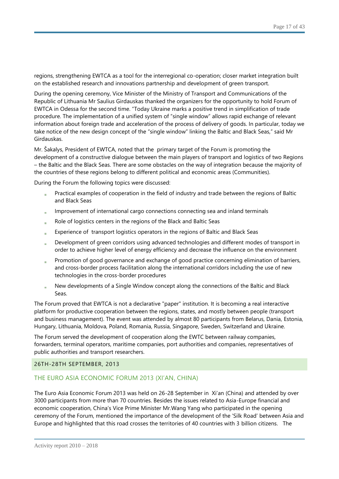regions, strengthening EWTCA as a tool for the interregional co-operation; closer market integration built on the established research and innovations partnership and development of green transport.

During the opening ceremony, Vice Minister of the Ministry of Transport and Communications of the Republic of Lithuania Mr Saulius Girdauskas thanked the organizers for the opportunity to hold Forum of EWTCA in Odessa for the second time. "Today Ukraine marks a positive trend in simplification of trade procedure. The implementation of a unified system of "single window" allows rapid exchange of relevant information about foreign trade and acceleration of the process of delivery of goods. In particular, today we take notice of the new design concept of the "single window" linking the Baltic and Black Seas," said Mr Girdauskas.

Mr. Šakalys, President of EWTCA, noted that the primary target of the Forum is promoting the development of a constructive dialogue between the main players of transport and logistics of two Regions – the Baltic and the Black Seas. There are some obstacles on the way of integration because the majority of the countries of these regions belong to different political and economic areas (Communities).

During the Forum the following topics were discussed:

- Practical examples of cooperation in the field of industry and trade between the regions of Baltic and Black Seas
- Improvement of international cargo connections connecting sea and inland terminals
- Role of logistics centers in the regions of the Black and Baltic Seas
- Experience of transport logistics operators in the regions of Baltic and Black Seas
- Development of green corridors using advanced technologies and different modes of transport in order to achieve higher level of energy efficiency and decrease the influence on the environment
- Promotion of good governance and exchange of good practice concerning elimination of barriers, and cross-border process facilitation along the international corridors including the use of new technologies in the cross-border procedures
- New developments of a Single Window concept along the connections of the Baltic and Black Seas.

The Forum proved that EWTCA is not a declarative "paper" institution. It is becoming a real interactive platform for productive cooperation between the regions, states, and mostly between people (transport and business management). The event was attended by almost 80 participants from Belarus, Dania, Estonia, Hungary, Lithuania, Moldova, Poland, Romania, Russia, Singapore, Sweden, Switzerland and Ukraine.

The Forum served the development of cooperation along the EWTC between railway companies, forwarders, terminal operators, maritime companies, port authorities and companies, representatives of public authorities and transport researchers.

#### 26TH-28TH SEPTEMBER, 2013

## THE EURO ASIA ECONOMIC FORUM 2013 (XI'AN, CHINA)

The Euro Asia Economic Forum 2013 was held on 26-28 September in Xi'an (China) and attended by over 3000 participants from more than 70 countries. Besides the issues related to Asia-Europe financial and economic cooperation, China's Vice Prime Minister Mr.Wang Yang who participated in the opening ceremony of the Forum, mentioned the importance of the development of the 'Silk Road' between Asia and Europe and highlighted that this road crosses the territories of 40 countries with 3 billion citizens. The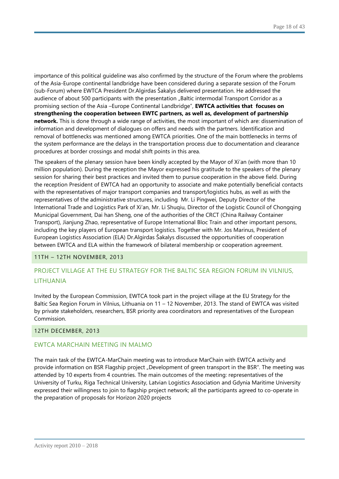importance of this political guideline was also confirmed by the structure of the Forum where the problems of the Asia-Europe continental landbridge have been considered during a separate session of the Forum (sub-Forum) where EWTCA President Dr.Algirdas Šakalys delivered presentation. He addressed the audience of about 500 participants with the presentation "Baltic intermodal Transport Corridor as a promising section of the Asia [–Europe Continental Landbridge"](http://www.ewtcassociation.net/wp-content/uploads/2013/10/A.Sakalys-EAEF-2013-09-27.pdf), **EWTCA activities that focuses on strengthening the cooperation between EWTC partners, as well as, development of partnership network.** This is done through a wide range of activities, the most important of which are: dissemination of information and development of dialogues on offers and needs with the partners. Identification and removal of bottlenecks was mentioned among EWTCA priorities. One of the main bottlenecks in terms of the system performance are the delays in the transportation process due to documentation and clearance procedures at border crossings and modal shift points in this area.

The speakers of the plenary session have been kindly accepted by the Mayor of Xi'an (with more than 10 million population). During the reception the Mayor expressed his gratitude to the speakers of the plenary session for sharing their best practices and invited them to pursue cooperation in the above field. During the reception President of EWTCA had an opportunity to associate and make potentially beneficial contacts with the representatives of major transport companies and transport/logistics hubs, as well as with the representatives of the administrative structures, including Mr. Li Pingwei, Deputy Director of the International Trade and Logistics Park of Xi'an, Mr. Li Shuqiu, Director of the Logistic Council of Chongqing Municipal Government, Dai han Sheng, one of the authorities of the CRCT (China Railway Container Transport), Jianjung Zhao, representative of Europe International Bloc Train and other important persons, including the key players of European transport logistics. Together with Mr. Jos Marinus, President of European Logistics Association (ELA) Dr.Algirdas Šakalys discussed the opportunities of cooperation between EWTCA and ELA within the framework of bilateral membership or cooperation agreement.

#### 11TH – 12TH NOVEMBER, 2013

# PROJECT VILLAGE AT THE EU STRATEGY FOR THE BALTIC SEA REGION FORUM IN VILNIUS, LITHUANIA

Invited by the European Commission, EWTCA took part in the project village at the EU Strategy for the Baltic Sea Region Forum in Vilnius, Lithuania on 11 – 12 November, 2013. The stand of EWTCA was visited by private stakeholders, researchers, BSR priority area coordinators and representatives of the European Commission.

#### 12TH DECEMBER, 2013

#### EWTCA MARCHAIN MEETING IN MALMO

The main task of the EWTCA-MarChain meeting was to introduce MarChain with EWTCA activity and provide information on BSR Flagship project "Development of green transport in the BSR". The meeting was attended by 10 experts from 4 countries. The main outcomes of the meeting: representatives of the University of Turku, Riga Technical University, Latvian Logistics Association and Gdynia Maritime University expressed their willingness to join to flagship project network; all the participants agreed to co-operate in the preparation of proposals for Horizon 2020 projects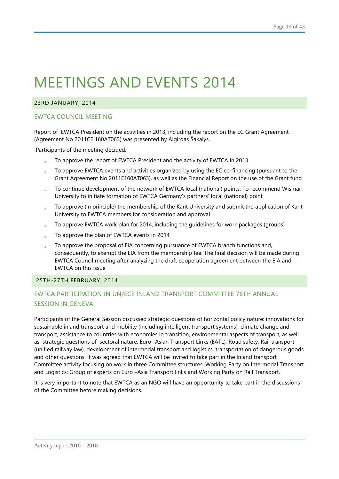### 23RD JANUARY, 2014

### EWTCA COUNCIL MEETING

Report of EWTCA President on the activities in 2013, including the report on the EC Grant Agreement (Agreement No 2011CE 160AT063) was presented by Algirdas Šakalys.

Participants of the meeting decided:

- To approve the report of EWTCA President and the activity of EWTCA in 2013
- To approve EWTCA events and activities organized by using the EC co-financing (pursuant to the Grant Agreement No 2011E160AT063), as well as the Financial Report on the use of the Grant fund
- To continue development of the network of EWTCA local (national) points. To recommend Wismar University to initiate formation of EWTCA Germany's partners' local (national) point
- To approve (in principle) the membership of the Kant University and submit the application of Kant à. University to EWTCA members for consideration and approval
- To approve EWTCA work plan for 2014, including the guidelines for work packages (groups)
- To approve the plan of EWTCA events in 2014
- To approve the proposal of EIA concerning pursuance of EWTCA branch functions and, consequently, to exempt the EIA from the membership fee. The final decision will be made during EWTCA Council meeting after analyzing the draft cooperation agreement between the EIA and EWTCA on this issue

#### 25TH-27TH FEBRUARY, 2014

# EWTCA PARTICIPATION IN UN/ECE INLAND TRANSPORT COMMITTEE 76TH ANNUAL SESSION IN GENEVA

Participants of the General Session discussed strategic questions of horizontal policy nature: innovations for sustainable inland transport and mobility (including intelligent transport systems), climate change and transport, assistance to countries with economies in transition, environmental aspects of transport, as well as strategic questions of sectoral nature: Euro- Asian Transport Links (EATL), Road safety, Rail transport (unified railway law), development of intermodal transport and logistics, transportation of dangerous goods and other questions. It was agreed that EWTCA will be invited to take part in the Inland transport Committee activity focusing on work in three Committee structures: Working Party on Intermodal Transport and Logistics; Group of experts on Euro –Asia Transport links and Working Party on Rail Transport.

It is very important to note that EWTCA as an NGO will have an opportunity to take part in the discussions of the Committee before making decisions.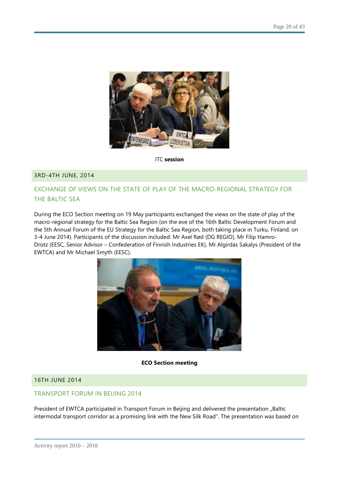

ITC **session**

## 3RD-4TH JUNE, 2014

## EXCHANGE OF VIEWS ON THE STATE OF PLAY OF THE MACRO-REGIONAL STRATEGY FOR THE BALTIC SEA

During the ECO Section meeting on 19 May participants exchanged the views on the state of play of the macro-regional strategy for the Baltic Sea Region (on the eve of the 16th Baltic Development Forum and the 5th Annual Forum of the EU Strategy for the Baltic Sea Region, both taking place in Turku, Finland, on 3-4 June 2014). Participants of the discussion included: Mr Axel Rød (DG REGIO), Mr Filip Hamro-Drotz (EESC, Senior Advisor – Confederation of Finnish Industries EK), Mr Algirdas Sakalys (President of the EWTCA) and Mr Michael Smyth (EESC).



#### **ECO Section meeting**

#### 16TH JUNE 2014

## TRANSPORT FORUM IN BEIJING 2014

President of EWTCA participated in Transport Forum in Beijing and delivered the presentation "Baltic intermodal transport corridor as a promising link with the New Silk Road". The presentation was based on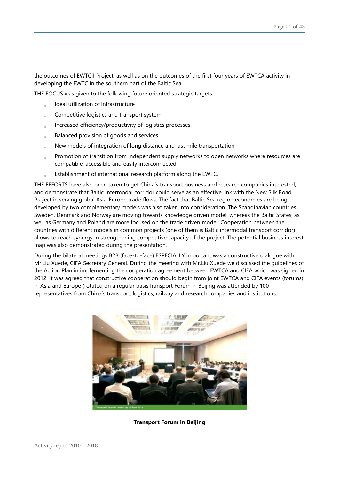the outcomes of EWTCII Project, as well as on the outcomes of the first four years of EWTCA activity in developing the EWTC in the southern part of the Baltic Sea.

THE FOCUS was given to the following future oriented strategic targets:

- Ideal utilization of infrastructure
- Competitive logistics and transport system
- Increased efficiency/productivity of logistics processes
- Balanced provision of goods and services
- New models of integration of long distance and last mile transportation
- Promotion of transition from independent supply networks to open networks where resources are compatible, accessible and easily interconnected
- Establishment of international research platform along the EWTC.

THE EFFORTS have also been taken to get China's transport business and research companies interested, and demonstrate that Baltic Intermodal corridor could serve as an effective link with the New Silk Road Project in serving global Asia-Europe trade flows. The fact that Baltic Sea region economies are being developed by two complementary models was also taken into consideration. The Scandinavian countries Sweden, Denmark and Norway are moving towards knowledge driven model, whereas the Baltic States, as well as Germany and Poland are more focused on the trade driven model. Cooperation between the countries with different models in common projects (one of them is Baltic intermodal transport corridor) allows to reach synergy in strengthening competitive capacity of the project. The potential business interest map was also demonstrated during the presentation.

During the bilateral meetings B2B (face-to-face) ESPECIALLY important was a constructive dialogue with Mr.Liu Xuede, CIFA Secretary General. During the meeting with Mr.Liu Xuede we discussed the guidelines of the Action Plan in implementing the cooperation agreement between EWTCA and CIFA which was signed in 2012. It was agreed that constructive cooperation should begin from joint EWTCA and CIFA events (forums) in Asia and Europe (rotated on a regular basisTransport Forum in Beijing was attended by 100 representatives from China's transport, logistics, railway and research companies and institutions.



#### **Transport Forum in Beijing**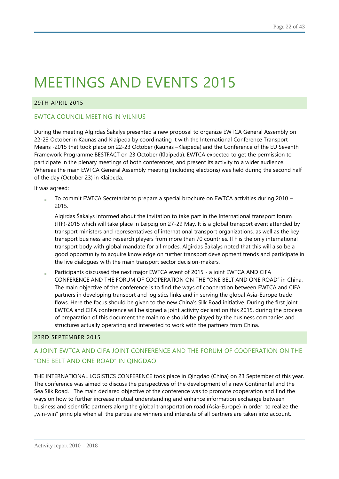## 29TH APRIL 2015

## EWTCA COUNCIL MEETING IN VILNIUS

During the meeting Algirdas Šakalys presented a new proposal to organize EWTCA General Assembly on 22-23 October in Kaunas and Klaipėda by coordinating it with the International Conference Transport Means -2015 that took place on 22-23 October (Kaunas –Klaipeda) and the Conference of the EU Seventh Framework Programme BESTFACT on 23 October (Klaipėda). EWTCA expected to get the permission to participate in the plenary meetings of both conferences, and present its activity to a wider audience. Whereas the main EWTCA General Assembly meeting (including elections) was held during the second half of the day (October 23) in Klaipėda.

It was agreed:

To commit EWTCA Secretariat to prepare a special brochure on EWTCA activities during 2010 – 2015.

Algirdas Šakalys informed about the invitation to take part in the International transport forum (ITF)-2015 which will take place in Leipzig on 27-29 May. It is a global transport event attended by transport ministers and representatives of international transport organizations, as well as the key transport business and research players from more than 70 countries. ITF is the only international transport body with global mandate for all modes. Algirdas Šakalys noted that this will also be a good opportunity to acquire knowledge on further transport development trends and participate in the live dialogues with the main transport sector decision-makers.

Participants discussed the next major EWTCA event of 2015 - a joint EWTCA AND CIFA CONFERENCE AND THE FORUM OF COOPERATION ON THE "ONE BELT AND ONE ROAD" in China. The main objective of the conference is to find the ways of cooperation between EWTCA and CIFA partners in developing transport and logistics links and in serving the global Asia-Europe trade flows. Here the focus should be given to the new China's Silk Road initiative. During the first joint EWTCA and CIFA conference will be signed a joint activity declaration this 2015, during the process of preparation of this document the main role should be played by the business companies and structures actually operating and interested to work with the partners from China.

#### 23RD SEPTEMBER 2015

# A JOINT EWTCA AND CIFA JOINT CONFERENCE AND THE FORUM OF COOPERATION ON THE "ONE BELT AND ONE ROAD" IN QINGDAO

THE INTERNATIONAL LOGISTICS CONFERENCE took place in Qingdao (China) on 23 September of this year. The conference was aimed to discuss the perspectives of the development of a new Continental and the Sea Silk Road. The main declared objective of the conference was to promote cooperation and find the ways on how to further increase mutual understanding and enhance information exchange between business and scientific partners along the global transportation road (Asia-Europe) in order to realize the "win-win" principle when all the parties are winners and interests of all partners are taken into account.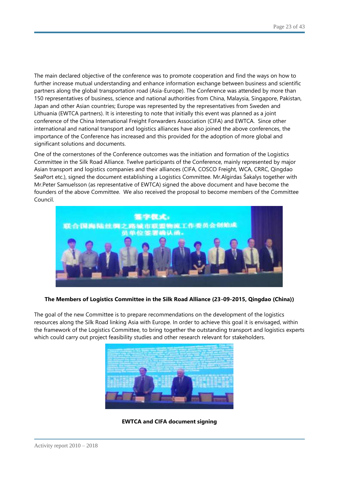The main declared objective of the conference was to promote cooperation and find the ways on how to further increase mutual understanding and enhance information exchange between business and scientific partners along the global transportation road (Asia-Europe). The Conference was attended by more than 150 representatives of business, science and national authorities from China, Malaysia, Singapore, Pakistan, Japan and other Asian countries; Europe was represented by the representatives from Sweden and Lithuania (EWTCA partners). It is interesting to note that initially this event was planned as a joint conference of the China International Freight Forwarders Association (CIFA) and EWTCA. Since other international and national transport and logistics alliances have also joined the above conferences, the importance of the Conference has increased and this provided for the adoption of more global and significant solutions and documents.

One of the cornerstones of the Conference outcomes was the initiation and formation of the Logistics Committee in the Silk Road Alliance. Twelve participants of the Conference, mainly represented by major Asian transport and logistics companies and their alliances (CIFA, COSCO Freight, WCA, CRRC, Qingdao SeaPort etc.), signed the document establishing a Logistics Committee. Mr.Algirdas Šakalys together with Mr.Peter Samuelsson (as representative of EWTCA) signed the above document and have become the founders of the above Committee. We also received the proposal to become members of the Committee Council.



#### **The Members of Logistics Committee in the Silk Road Alliance (23-09-2015, Qingdao (China))**

The goal of the new Committee is to prepare recommendations on the development of the logistics resources along the Silk Road linking Asia with Europe. In order to achieve this goal it is envisaged, within the framework of the Logistics Committee, to bring together the outstanding transport and logistics experts which could carry out project feasibility studies and other research relevant for stakeholders.



**EWTCA and CIFA document signing**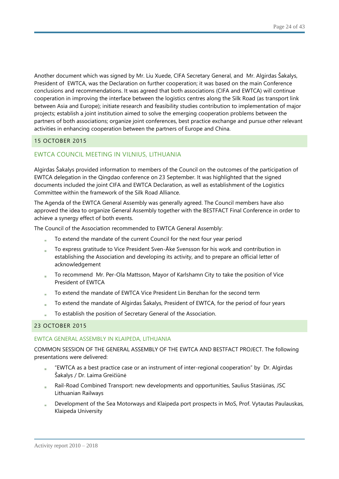Another document which was signed by Mr. Liu Xuede, CIFA Secretary General, and Mr. Algirdas Šakalys, President of EWTCA, was the Declaration on further cooperation; it was based on the main Conference conclusions and recommendations. It was agreed that both associations (CIFA and EWTCA) will continue cooperation in improving the interface between the logistics centres along the Silk Road (as transport link between Asia and Europe); initiate research and feasibility studies contribution to implementation of major projects; establish a joint institution aimed to solve the emerging cooperation problems between the partners of both associations; organize joint conferences, best practice exchange and pursue other relevant activities in enhancing cooperation between the partners of Europe and China.

## 15 OCTOBER 2015

## EWTCA COUNCIL MEETING IN VILNIUS, LITHUANIA

Algirdas Šakalys provided information to members of the Council on the outcomes of the participation of EWTCA delegation in the Qingdao conference on 23 September. It was highlighted that the signed documents included the joint CIFA and EWTCA Declaration, as well as establishment of the Logistics Committee within the framework of the Silk Road Alliance.

The Agenda of the EWTCA General Assembly was generally agreed. The Council members have also approved the idea to organize General Assembly together with the BESTFACT Final Conference in order to achieve a synergy effect of both events.

The Council of the Association recommended to EWTCA General Assembly:

- To extend the mandate of the current Council for the next four year period
- To express gratitude to Vice President Sven-Åke Svensson for his work and contribution in establishing the Association and developing its activity, and to prepare an official letter of acknowledgement
- To recommend Mr. Per-Ola Mattsson, Mayor of Karlshamn City to take the position of Vice President of EWTCA
- To extend the mandate of EWTCA Vice President Lin Benzhan for the second term
- To extend the mandate of Algirdas Šakalys, President of EWTCA, for the period of four years
- To establish the position of Secretary General of the Association.

#### 23 OCTOBER 2015

#### EWTCA GENERAL ASSEMBLY IN KLAIPĖDA, LITHUANIA

COMMON SESSION OF THE GENERAL ASSEMBLY OF THE EWTCA AND BESTFACT PROJECT. The following presentations were delivered:

- "EWTCA as a best practice case or an instrument of inter-regional cooperation" by Dr. Algirdas Šakalys / Dr. Laima Greičiūnė
- Rail-Road Combined Transport: new developments and opportunities, Saulius Stasiūnas, JSC Lithuanian Railways
- Development of the Sea Motorways and Klaipeda port prospects in MoS, Prof. Vytautas Paulauskas, Klaipeda University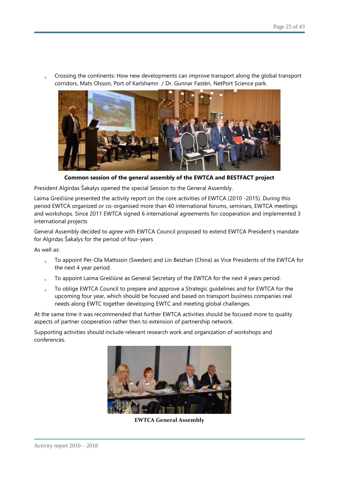Crossing the continents: How new developments can improve transport along the global transport corridors, Mats Olsson, Port of Karlshamn / Dr. Gunnar Fastén, NetPort Science park.



**Common session of the general assembly of the EWTCA and BESTFACT project**

President Algirdas Šakalys opened the special Session to the General Assembly.

Laima Greičiūnė presented the activity report on the core activities of EWTCA (2010 -2015). During this period EWTCA organized or co-organised more than 40 international forums, seminars, EWTCA meetings and workshops. Since 2011 EWTCA signed 6 international agreements for cooperation and implemented 3 international projects

General Assembly decided to agree with EWTCA Council proposed to extend EWTCA President's mandate for Algirdas Šakalys for the period of four-years

As well as:

- To appoint Per-Ola Mattsson (Sweden) and Lin Beizhan (China) as Vice Presidents of the EWTCA for the next 4 year period.
- To appoint Laima Greičiūnė as General Secretary of the EWTCA for the next 4 years period.
- To oblige EWTCA Council to prepare and approve a Strategic guidelines and for EWTCA for the upcoming four year, which should be focused and based on transport business companies real needs along EWTC together developing EWTC and meeting global challenges.

At the same time it was recommended that further EWTCA activities should be focused more to quality aspects of partner cooperation rather then to extension of partnership network.

Supporting activities should include relevant research work and organization of workshops and conferences.



**EWTCA General Assembly**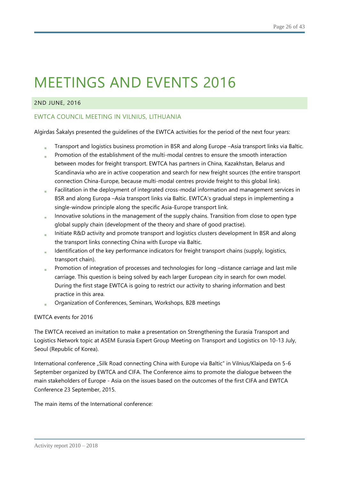## 2ND JUNE, 2016

## EWTCA COUNCIL MEETING IN VILNIUS, LITHUANIA

Algirdas Šakalys presented the guidelines of the EWTCA activities for the period of the next four years:

- Transport and logistics business promotion in BSR and along Europe –Asia transport links via Baltic.
- Promotion of the establishment of the multi-modal centres to ensure the smooth interaction between modes for freight transport. EWTCA has partners in China, Kazakhstan, Belarus and Scandinavia who are in active cooperation and search for new freight sources (the entire transport connection China-Europe, because multi-modal centres provide freight to this global link).
- Facilitation in the deployment of integrated cross-modal information and management services in BSR and along Europa –Asia transport links via Baltic. EWTCA's gradual steps in implementing a single-window principle along the specific Asia-Europe transport link.
- Innovative solutions in the management of the supply chains. Transition from close to open type global supply chain (development of the theory and share of good practise).
- Initiate R&D activity and promote transport and logistics clusters development In BSR and along the transport links connecting China with Europe via Baltic.
- Identification of the key performance indicators for freight transport chains (supply, logistics, transport chain).
- Promotion of integration of processes and technologies for long -distance carriage and last mile carriage. This question is being solved by each larger European city in search for own model. During the first stage EWTCA is going to restrict our activity to sharing information and best practice in this area.
- Organization of Conferences, Seminars, Workshops, B2B meetings

#### EWTCA events for 2016

The EWTCA received an invitation to make a presentation on Strengthening the Eurasia Transport and Logistics Network topic at ASEM Eurasia Expert Group Meeting on Transport and Logistics on 10-13 July, Seoul (Republic of Korea).

International conference "Silk Road connecting China with Europe via Baltic" in Vilnius/Klaipeda on 5-6 September organized by EWTCA and CIFA. The Conference aims to promote the dialogue between the main stakeholders of Europe - Asia on the issues based on the outcomes of the first CIFA and EWTCA Conference 23 September, 2015.

The main items of the International conference: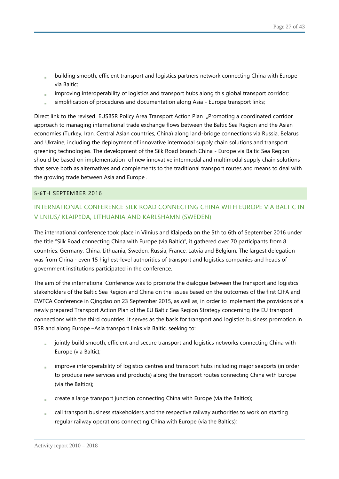- building smooth, efficient transport and logistics partners network connecting China with Europe via Baltic;
- improving interoperability of logistics and transport hubs along this global transport corridor;
- simplification of procedures and documentation along Asia Europe transport links;

Direct link to the revised EUSBSR Policy Area Transport Action Plan "Promoting a coordinated corridor approach to managing international trade exchange flows between the Baltic Sea Region and the Asian economies (Turkey, Iran, Central Asian countries, China) along land-bridge connections via Russia, Belarus and Ukraine, including the deployment of innovative intermodal supply chain solutions and transport greening technologies. The development of the Silk Road branch China - Europe via Baltic Sea Region should be based on implementation of new innovative intermodal and multimodal supply chain solutions that serve both as alternatives and complements to the traditional transport routes and means to deal with the growing trade between Asia and Europe .

#### 5-6TH SEPTEMBER 2016

# INTERNATIONAL CONFERENCE SILK ROAD CONNECTING CHINA WITH EUROPE VIA BALTIC IN VILNIUS/ KLAIPĖDA, LITHUANIA AND KARLSHAMN (SWEDEN)

The international conference took place in Vilnius and Klaipeda on the 5th to 6th of September 2016 under the title "Silk Road connecting China with Europe (via Baltic)", it gathered over 70 participants from 8 countries: Germany. China, Lithuania, Sweden, Russia, France, Latvia and Belgium. The largest delegation was from China - even 15 highest-level authorities of transport and logistics companies and heads of government institutions participated in the conference.

The aim of the international Conference was to promote the dialogue between the transport and logistics stakeholders of the Baltic Sea Region and China on the issues based on the outcomes of the first CIFA and EWTCA Conference in Qingdao on 23 September 2015, as well as, in order to implement the provisions of a newly prepared Transport Action Plan of the EU Baltic Sea Region Strategy concerning the EU transport connections with the third countries. It serves as the basis for transport and logistics business promotion in BSR and along Europe –Asia transport links via Baltic, seeking to:

- jointly build smooth, efficient and secure transport and logistics networks connecting China with Europe (via Baltic);
- improve interoperability of logistics centres and transport hubs including major seaports (in order to produce new services and products) along the transport routes connecting China with Europe (via the Baltics);
- create a large transport junction connecting China with Europe (via the Baltics);
- call transport business stakeholders and the respective railway authorities to work on starting regular railway operations connecting China with Europe (via the Baltics);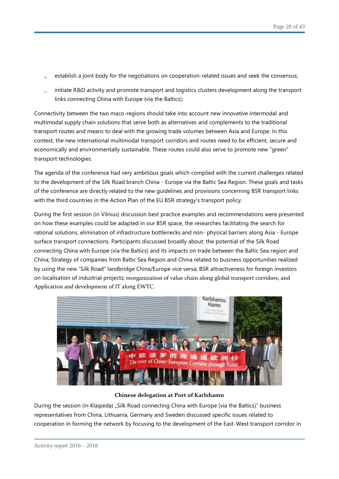- establish a joint body for the negotiations on cooperation-related issues and seek the consensus;
- initiate R&D activity and promote transport and logistics clusters development along the transport links connecting China with Europe (via the Baltics);

Connectivity between the two maco-regions should take into account new innovative intermodal and multimodal supply chain solutions that serve both as alternatives and complements to the traditional transport routes and means to deal with the growing trade volumes between Asia and Europe. In this context, the new international multimodal transport corridors and routes need to be efficient, secure and economically and environmentally sustainable. These routes could also serve to promote new "green" transport technologies.

The agenda of the conference had very ambitious goals which complied with the current challenges related to the development of the Silk Road branch China - Europe via the Baltic Sea Region. These goals and tasks of the conference are directly related to the new guidelines and provisions concerning BSR transport links with the third countries in the Action Plan of the EU BSR strategy's transport policy.

During the first session (in Vilnius) discussion best practice examples and recommendations were presented on how these examples could be adapted in our BSR space, the researches facilitating the search for rational solutions, elimination of infrastructure bottlenecks and non- physical barriers along Asia - Europe surface transport connections. Participants discussed broadly about: the potential of the Silk Road connecting China with Europe (via the Baltics) and its impacts on trade between the Baltic Sea region and China; Strategy of companies from Baltic Sea Region and China related to business opportunities realized by using the new "Silk Road" landbridge China/Europe vice versa; BSR attractiveness for foreign investors on localisation of industrial projects; reorganization of value chain along global transport corridors, and Application and development of IT along EWTC.



#### **Chinese delegation at Port of Karlshamn**

During the session (in Klaipėda) "Silk Road connecting China with Europe (via the Baltics)" business representatives from China, Lithuania, Germany and Sweden discussed specific issues related to cooperation in forming the network by focusing to the development of the East-West transport corridor in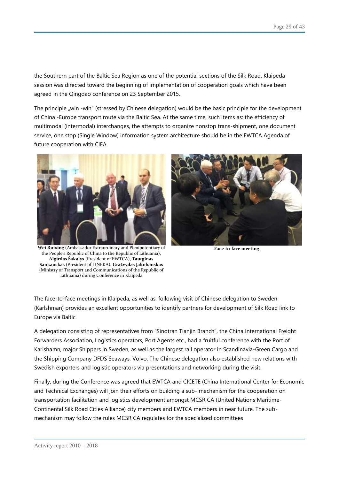the Southern part of the Baltic Sea Region as one of the potential sections of the Silk Road. Klaipeda session was directed toward the beginning of implementation of cooperation goals which have been agreed in the Qingdao conference on 23 September 2015.

The principle "win -win" (stressed by Chinese delegation) would be the basic principle for the development of China -Europe transport route via the Baltic Sea. At the same time, such items as: the efficiency of multimodal (intermodal) interchanges, the attempts to organize nonstop trans-shipment, one document service, one stop (Single Window) information system architecture should be in the EWTCA Agenda of future cooperation with CIFA.



**Wei Ruixing** (Ambassador Extraordinary and Plenipotentiary of the People's Republic of China to the Republic of Lithuania), **Algirdas Šakalys** (President of EWTCA), **Tautginas Sankauskas** (President of LINEKA), **Gražvydas Jakubauskas**  (Ministry of Transport and Communications of the Republic of Lithuania) during Conference in Klaipėda



**Face-to-face meeting**

The face-to-face meetings in Klaipėda, as well as, following visit of Chinese delegation to Sweden (Karlshman) provides an excellent opportunities to identify partners for development of Silk Road link to Europe via Baltic.

A delegation consisting of representatives from "Sinotran Tianjin Branch", the China International Freight Forwarders Association, Logistics operators, Port Agents etc., had a fruitful conference with the Port of Karlshamn, major Shippers in Sweden, as well as the largest rail operator in Scandinavia-Green Cargo and the Shipping Company DFDS Seaways, Volvo. The Chinese delegation also established new relations with Swedish exporters and logistic operators via presentations and networking during the visit.

Finally, during the Conference was agreed that EWTCA and CICETE (China International Center for Economic and Technical Exchanges) will join their efforts on building a sub- mechanism for the cooperation on transportation facilitation and logistics development amongst MCSR CA (United Nations Maritime-Continental Silk Road Cities Alliance) city members and EWTCA members in near future. The submechanism may follow the rules MCSR CA regulates for the specialized committees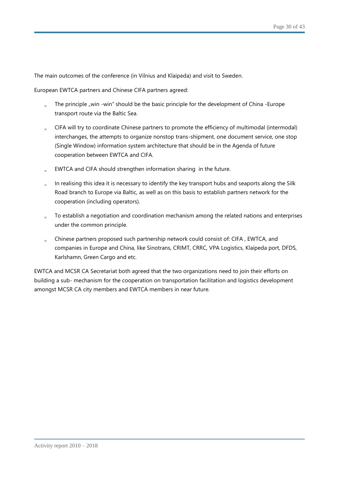The main outcomes of the conference (in Vilnius and Klaipėda) and visit to Sweden.

European EWTCA partners and Chinese CIFA partners agreed:

- The principle "win -win" should be the basic principle for the development of China -Europe transport route via the Baltic Sea.
- CIFA will try to coordinate Chinese partners to promote the efficiency of multimodal (intermodal) a. interchanges, the attempts to organize nonstop trans-shipment, one document service, one stop (Single Window) information system architecture that should be in the Agenda of future cooperation between EWTCA and CIFA.
- EWTCA and CIFA should strengthen information sharing in the future.
- In realising this idea it is necessary to identify the key transport hubs and seaports along the Silk Road branch to Europe via Baltic, as well as on this basis to establish partners network for the cooperation (including operators).
- To establish a negotiation and coordination mechanism among the related nations and enterprises under the common principle.
- Chinese partners proposed such partnership network could consist of: CIFA , EWTCA, and  $\mathbf{r}$ companies in Europe and China, like Sinotrans, CRIMT, CRRC, VPA Logistics, Klaipeda port, DFDS, Karlshamn, Green Cargo and etc.

EWTCA and MCSR CA Secretariat both agreed that the two organizations need to join their efforts on building a sub- mechanism for the cooperation on transportation facilitation and logistics development amongst MCSR CA city members and EWTCA members in near future.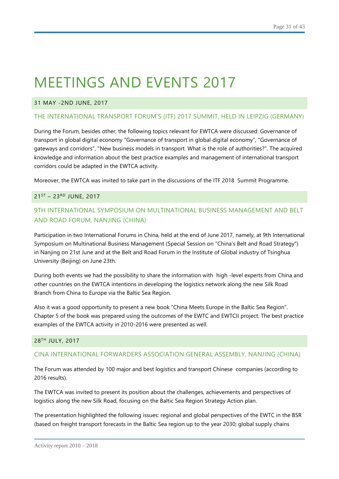## 31 MAY -2ND JUNE, 2017

## THE INTERNATIONAL TRANSPORT FORUM'S (ITF) 2017 SUMMIT, HELD IN LEIPZIG (GERMANY)

During the Forum, besides other, the following topics relevant for EWTCA were discussed: Governance of transport in global digital economy "Governance of transport in global digital economy", "Governance of gateways and corridors", "New business models in transport. What is the role of authorities?". The acquired knowledge and information about the best practice examples and management of international transport corridors could be adapted in the EWTCA activity.

Moreover, the EWTCA was invited to take part in the discussions of the ITF 2018 Summit Programme.

### 21ST – 23RD JUNE, 2017

# 9TH INTERNATIONAL SYMPOSIUM ON MULTINATIONAL BUSINESS MANAGEMENT AND BELT AND ROAD FORUM, NANJING (CHINA)

Participation in two International Forums in China, held at the end of June 2017, namely, at 9th International Symposium on Multinational Business Management (Special Session on "China's Belt and Road Strategy") in Nanjing on 21st June and at the Belt and Road Forum in the Institute of Global industry of Tsinghua University (Beijing) on June 23th.

During both events we had the possibility to share the information with high -level experts from China and other countries on the EWTCA intentions in developing the logistics network along the new Silk Road Branch from China to Europe via the Baltic Sea Region.

Also it was a good opportunity to present a new book "China Meets Europe in the Baltic Sea Region". Chapter 5 of the book was prepared using the outcomes of the EWTC and EWTCII project. The best practice examples of the EWTCA activity in 2010-2016 were presented as well.

## 28 TH JULY, 2017

## CINA INTERNATIONAL FORWARDERS ASSOCIATION GENERAL ASSEMBLY, NANJING (CHINA)

The Forum was attended by 100 major and best logistics and transport Chinese companies (according to 2016 results).

The EWTCA was invited to present its position about the challenges, achievements and perspectives of logistics along the new Silk Road, focusing on the Baltic Sea Region Strategy Action plan.

The presentation highlighted the following issues: regional and global perspectives of the EWTC in the BSR (based on freight transport forecasts in the Baltic Sea region up to the year 2030; global supply chains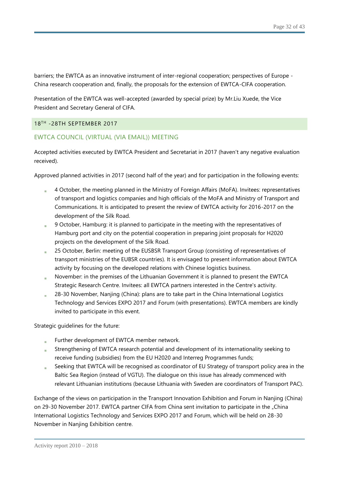barriers; the EWTCA as an innovative instrument of inter-regional cooperation; perspectives of Europe - China research cooperation and, finally, the proposals for the extension of EWTCA-CIFA cooperation.

Presentation of the EWTCA was well-accepted (awarded by special prize) by Mr.Liu Xuede, the Vice President and Secretary General of CIFA.

## 18TH -28TH SEPTEMBER 2017

## EWTCA COUNCIL (VIRTUAL (VIA EMAIL)) MEETING

Accepted activities executed by EWTCA President and Secretariat in 2017 (haven't any negative evaluation received).

Approved planned activities in 2017 (second half of the year) and for participation in the following events:

- 4 October, the meeting planned in the Ministry of Foreign Affairs (MoFA). Invitees: representatives of transport and logistics companies and high officials of the MoFA and Ministry of Transport and Communications. It is anticipated to present the review of EWTCA activity for 2016-2017 on the development of the Silk Road.
- 9 October, Hamburg: it is planned to participate in the meeting with the representatives of Hamburg port and city on the potential cooperation in preparing joint proposals for H2020 projects on the development of the Silk Road.
- 25 October, Berlin: meeting of the EUSBSR Transport Group (consisting of representatives of transport ministries of the EUBSR countries). It is envisaged to present information about EWTCA activity by focusing on the developed relations with Chinese logistics business.
- November: in the premises of the Lithuanian Government it is planned to present the EWTCA Strategic Research Centre. Invitees: all EWTCA partners interested in the Centre's activity.
- 28-30 November, Nanjing (China): plans are to take part in the China International Logistics Technology and Services EXPO 2017 and Forum (with presentations). EWTCA members are kindly invited to participate in this event.

Strategic guidelines for the future:

- Further development of EWTCA member network.
- Strengthening of EWTCA research potential and development of its internationality seeking to receive funding (subsidies) from the EU H2020 and Interreg Programmes funds;
- Seeking that EWTCA will be recognised as coordinator of EU Strategy of transport policy area in the Baltic Sea Region (instead of VGTU). The dialogue on this issue has already commenced with relevant Lithuanian institutions (because Lithuania with Sweden are coordinators of Transport PAC).

Exchange of the views on participation in the Transport Innovation Exhibition and Forum in Nanjing (China) on 29-30 November 2017. EWTCA partner CIFA from China sent invitation to participate in the "China International Logistics Technology and Services EXPO 2017 and Forum, which will be held on 28-30 November in Nanjing Exhibition centre.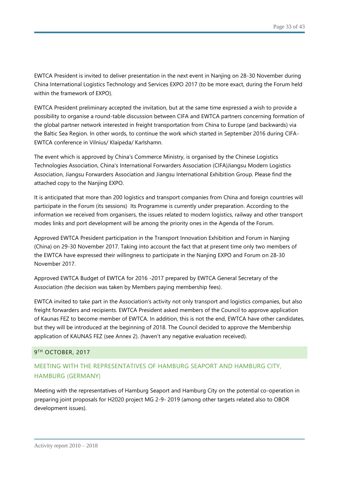EWTCA President is invited to deliver presentation in the next event in Nanjing on 28-30 November during China International Logistics Technology and Services EXPO 2017 (to be more exact, during the Forum held within the framework of EXPO).

EWTCA President preliminary accepted the invitation, but at the same time expressed a wish to provide a possibility to organise a round-table discussion between CIFA and EWTCA partners concerning formation of the global partner network interested in freight transportation from China to Europe (and backwards) via the Baltic Sea Region. In other words, to continue the work which started in September 2016 during CIFA-EWTCA conference in Vilnius/ Klaipėda/ Karlshamn.

The event which is approved by China's Commerce Ministry, is organised by the Chinese Logistics Technologies Association, China's International Forwarders Association (CIFA)Jiangsu Modern Logistics Association, Jiangsu Forwarders Association and Jiangsu International Exhibition Group. Please find the attached copy to the Nanjing EXPO.

It is anticipated that more than 200 logistics and transport companies from China and foreign countries will participate in the Forum (its sessions) Its Programme is currently under preparation. According to the information we received from organisers, the issues related to modern logistics, railway and other transport modes links and port development will be among the priority ones in the Agenda of the Forum.

Approved EWTCA President participation in the Transport Innovation Exhibition and Forum in Nanjing (China) on 29-30 November 2017. Taking into account the fact that at present time only two members of the EWTCA have expressed their willingness to participate in the Nanjing EXPO and Forum on 28-30 November 2017.

Approved EWTCA Budget of EWTCA for 2016 -2017 prepared by EWTCA General Secretary of the Association (the decision was taken by Members paying membership fees).

EWTCA invited to take part in the Association's activity not only transport and logistics companies, but also freight forwarders and recipients. EWTCA President asked members of the Council to approve application of Kaunas FEZ to become member of EWTCA. In addition, this is not the end, EWTCA have other candidates, but they will be introduced at the beginning of 2018. The Council decided to approve the Membership application of KAUNAS FEZ (see Annex 2). (haven't any negative evaluation received).

## 9 TH OCTOBER, 2017

# MEETING WITH THE REPRESENTATIVES OF HAMBURG SEAPORT AND HAMBURG CITY, HAMBURG (GERMANY)

Meeting with the representatives of Hamburg Seaport and Hamburg City on the potential co-operation in preparing joint proposals for H2020 project MG 2-9- 2019 (among other targets related also to OBOR development issues).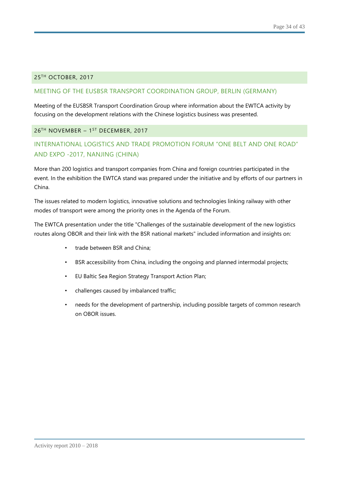### 25TH OCTOBER, 2017

### MEETING OF THE EUSBSR TRANSPORT COORDINATION GROUP, BERLIN (GERMANY)

Meeting of the EUSBSR Transport Coordination Group where information about the EWTCA activity by focusing on the development relations with the Chinese logistics business was presented.

### 26™ NOVEMBER – 1<sup>st</sup> DECEMBER, 2017

# INTERNATIONAL LOGISTICS AND TRADE PROMOTION FORUM "ONE BELT AND ONE ROAD" AND EXPO -2017, NANJING (CHINA)

More than 200 logistics and transport companies from China and foreign countries participated in the event. In the exhibition the EWTCA stand was prepared under the initiative and by efforts of our partners in China.

The issues related to modern logistics, innovative solutions and technologies linking railway with other modes of transport were among the priority ones in the Agenda of the Forum.

The EWTCA presentation under the title "Challenges of the sustainable development of the new logistics routes along OBOR and their link with the BSR national markets" included information and insights on:

- trade between BSR and China:
- BSR accessibility from China, including the ongoing and planned intermodal projects;
- EU Baltic Sea Region Strategy Transport Action Plan;
- challenges caused by imbalanced traffic;
- needs for the development of partnership, including possible targets of common research on OBOR issues.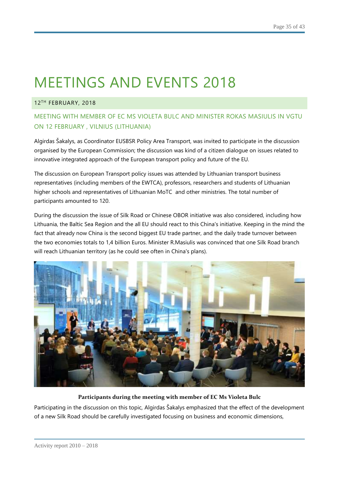### 12TH FEBRUARY, 2018

# MEETING WITH MEMBER OF EC MS VIOLETA BULC AND MINISTER ROKAS MASIULIS IN VGTU ON 12 FEBRUARY , VILNIUS (LITHUANIA)

Algirdas Šakalys, as Coordinator EUSBSR Policy Area Transport, was invited to participate in the discussion organised by the European Commission; the discussion was kind of a citizen dialogue on issues related to innovative integrated approach of the European transport policy and future of the EU.

The discussion on European Transport policy issues was attended by Lithuanian transport business representatives (including members of the EWTCA), professors, researchers and students of Lithuanian higher schools and representatives of Lithuanian MoTC and other ministries. The total number of participants amounted to 120.

During the discussion the issue of Silk Road or Chinese OBOR initiative was also considered, including how Lithuania, the Baltic Sea Region and the all EU should react to this China's initiative. Keeping in the mind the fact that already now China is the second biggest EU trade partner, and the daily trade turnover between the two economies totals to 1,4 billion Euros. Minister R.Masiulis was convinced that one Silk Road branch will reach Lithuanian territory (as he could see often in China's plans).



#### **Participants during the meeting with member of EC Ms Violeta Bulc**

Participating in the discussion on this topic, Algirdas Šakalys emphasized that the effect of the development of a new Silk Road should be carefully investigated focusing on business and economic dimensions,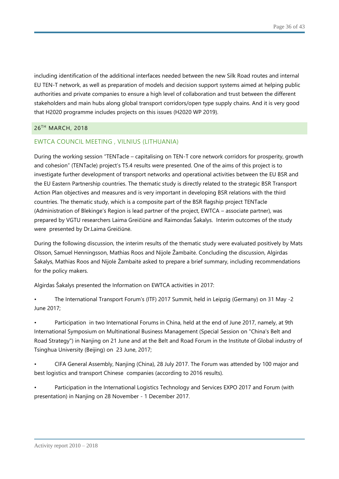including identification of the additional interfaces needed between the new Silk Road routes and internal EU TEN-T network, as well as preparation of models and decision support systems aimed at helping public authorities and private companies to ensure a high level of collaboration and trust between the different stakeholders and main hubs along global transport corridors/open type supply chains. And it is very good that H2020 programme includes projects on this issues (H2020 WP 2019).

### 26TH MARCH, 2018

## EWTCA COUNCIL MEETING , VILNIUS (LITHUANIA)

During the working session "TENTacle – capitalising on TEN-T core network corridors for prosperity, growth and cohesion" (TENTacle) project's T5.4 results were presented. One of the aims of this project is to investigate further development of transport networks and operational activities between the EU BSR and the EU Eastern Partnership countries. The thematic study is directly related to the strategic BSR Transport Action Plan objectives and measures and is very important in developing BSR relations with the third countries. The thematic study, which is a composite part of the BSR flagship project TENTacle (Administration of Blekinge's Region is lead partner of the project, EWTCA – associate partner), was prepared by VGTU researchers Laima Greičiūnė and Raimondas Šakalys. Interim outcomes of the study were presented by Dr.Laima Greičiūnė.

During the following discussion, the interim results of the thematic study were evaluated positively by Mats Olsson, Samuel Henningsson, Mathias Roos and Nijole Žambaitė. Concluding the discussion, Algirdas Šakalys, Mathias Roos and Nijolė Žambaitė asked to prepare a brief summary, including recommendations for the policy makers.

Algirdas Šakalys presented the Information on EWTCA activities in 2017:

• The International Transport Forum's (ITF) 2017 Summit, held in Leipzig (Germany) on 31 May -2 June 2017;

• Participation in two International Forums in China, held at the end of June 2017, namely, at 9th International Symposium on Multinational Business Management (Special Session on "China's Belt and Road Strategy") in Nanjing on 21 June and at the Belt and Road Forum in the Institute of Global industry of Tsinghua University (Beijing) on 23 June, 2017;

• CIFA General Assembly, Nanjing (China), 28 July 2017. The Forum was attended by 100 major and best logistics and transport Chinese companies (according to 2016 results).

• Participation in the International Logistics Technology and Services EXPO 2017 and Forum (with presentation) in Nanjing on 28 November - 1 December 2017.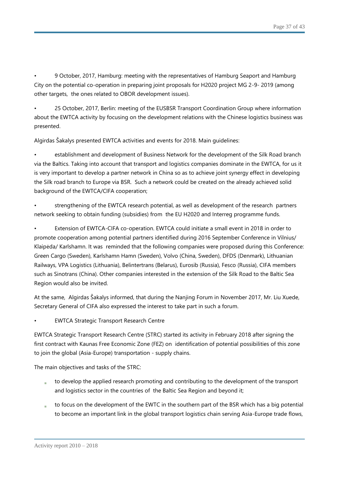• 9 October, 2017, Hamburg: meeting with the representatives of Hamburg Seaport and Hamburg City on the potential co-operation in preparing joint proposals for H2020 project MG 2-9- 2019 (among other targets, the ones related to OBOR development issues).

• 25 October, 2017, Berlin: meeting of the EUSBSR Transport Coordination Group where information about the EWTCA activity by focusing on the development relations with the Chinese logistics business was presented.

Algirdas Šakalys presented EWTCA activities and events for 2018. Main guidelines:

• establishment and development of Business Network for the development of the Silk Road branch via the Baltics. Taking into account that transport and logistics companies dominate in the EWTCA, for us it is very important to develop a partner network in China so as to achieve joint synergy effect in developing the Silk road branch to Europe via BSR. Such a network could be created on the already achieved solid background of the EWTCA/CIFA cooperation;

• strengthening of the EWTCA research potential, as well as development of the research partners network seeking to obtain funding (subsidies) from the EU H2020 and Interreg programme funds.

• Extension of EWTCA-CIFA co-operation. EWTCA could initiate a small event in 2018 in order to promote cooperation among potential partners identified during 2016 September Conference in Vilnius/ Klaipėda/ Karlshamn. It was reminded that the following companies were proposed during this Conference: Green Cargo (Sweden), Karlshamn Hamn (Sweden), Volvo (China, Sweden), DFDS (Denmark), Lithuanian Railways, VPA Logistics (Lithuania), Belintertrans (Belarus), Eurosib (Russia), Fesco (Russia), CIFA members such as Sinotrans (China). Other companies interested in the extension of the Silk Road to the Baltic Sea Region would also be invited.

At the same, Algirdas Šakalys informed, that during the Nanjing Forum in November 2017, Mr. Liu Xuede, Secretary General of CIFA also expressed the interest to take part in such a forum.

**EWTCA Strategic Transport Research Centre** 

EWTCA Strategic Transport Research Centre (STRC) started its activity in February 2018 after signing the first contract with Kaunas Free Economic Zone (FEZ) on identification of potential possibilities of this zone to join the global (Asia-Europe) transportation - supply chains.

The main objectives and tasks of the STRC:

- to develop the applied research promoting and contributing to the development of the transport and logistics sector in the countries of the Baltic Sea Region and beyond it;
- to focus on the development of the EWTC in the southern part of the BSR which has a big potential to become an important link in the global transport logistics chain serving Asia-Europe trade flows,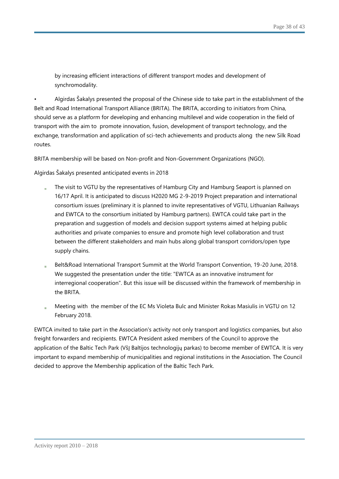by increasing efficient interactions of different transport modes and development of synchromodality.

• Algirdas Šakalys presented the proposal of the Chinese side to take part in the establishment of the Belt and Road International Transport Alliance (BRITA). The BRITA, according to initiators from China, should serve as a platform for developing and enhancing multilevel and wide cooperation in the field of transport with the aim to promote innovation, fusion, development of transport technology, and the exchange, transformation and application of sci-tech achievements and products along the new Silk Road routes.

BRITA membership will be based on Non-profit and Non-Government Organizations (NGO).

Algirdas Šakalys presented anticipated events in 2018

- The visit to VGTU by the representatives of Hamburg City and Hamburg Seaport is planned on 16/17 April. It is anticipated to discuss H2020 MG 2-9-2019 Project preparation and international consortium issues (preliminary it is planned to invite representatives of VGTU, Lithuanian Railways and EWTCA to the consortium initiated by Hamburg partners). EWTCA could take part in the preparation and suggestion of models and decision support systems aimed at helping public authorities and private companies to ensure and promote high level collaboration and trust between the different stakeholders and main hubs along global transport corridors/open type supply chains.
- Belt&Road International Transport Summit at the World Transport Convention, 19-20 June, 2018. We suggested the presentation under the title: "EWTCA as an innovative instrument for interregional cooperation". But this issue will be discussed within the framework of membership in the BRITA.
- Meeting with the member of the EC Ms Violeta Bulc and Minister Rokas Masiulis in VGTU on 12 February 2018.

EWTCA invited to take part in the Association's activity not only transport and logistics companies, but also freight forwarders and recipients. EWTCA President asked members of the Council to approve the application of the Baltic Tech Park (VšĮ Baltijos technologijų parkas) to become member of EWTCA. It is very important to expand membership of municipalities and regional institutions in the Association. The Council decided to approve the Membership application of the Baltic Tech Park.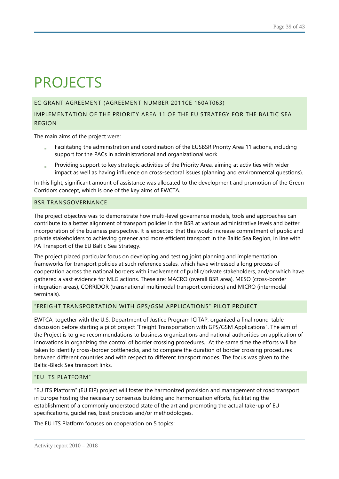# PROJECTS

### EC GRANT AGREEMENT (AGREEMENT NUMBER 2011CE 160AT063)

## IMPLEMENTATION OF THE PRIORITY AREA 11 OF THE EU STRATEGY FOR THE BALTIC SEA REGION

The main aims of the project were:

- Facilitating the administration and coordination of the EUSBSR Priority Area 11 actions, including support for the PACs in administrational and organizational work
- Providing support to key strategic activities of the Priority Area, aiming at activities with wider impact as well as having influence on cross-sectoral issues (planning and environmental questions).

In this light, significant amount of assistance was allocated to the development and promotion of the Green Corridors concept, which is one of the key aims of EWCTA.

#### BSR TRANSGOVERNANCE

The project objective was to demonstrate how multi-level governance models, tools and approaches can contribute to a better alignment of transport policies in the BSR at various administrative levels and better incorporation of the business perspective. It is expected that this would increase commitment of public and private stakeholders to achieving greener and more efficient transport in the Baltic Sea Region, in line with PA Transport of the EU Baltic Sea Strategy.

The project placed particular focus on developing and testing joint planning and implementation frameworks for transport policies at such reference scales, which have witnessed a long process of cooperation across the national borders with involvement of public/private stakeholders, and/or which have gathered a vast evidence for MLG actions. These are: MACRO (overall BSR area), MESO (cross-border integration areas), CORRIDOR (transnational multimodal transport corridors) and MICRO (intermodal terminals).

## "FREIGHT TRANSPORTATION WITH GPS/GSM APPLICATIONS" PILOT PROJECT

EWTCA, together with the U.S. Department of Justice Program ICITAP, organized a final round-table discussion before starting a pilot project "Freight Transportation with GPS/GSM Applications". The aim of the Project is to give recommendations to business organizations and national authorities on application of innovations in organizing the control of border crossing procedures. At the same time the efforts will be taken to identify cross-border bottlenecks, and to compare the duration of border crossing procedures between different countries and with respect to different transport modes. The focus was given to the Baltic-Black Sea transport links.

#### "EU ITS PLATFORM"

"EU ITS Platform" (EU EIP) project will foster the harmonized provision and management of road transport in Europe hosting the necessary consensus building and harmonization efforts, facilitating the establishment of a commonly understood state of the art and promoting the actual take-up of EU specifications, guidelines, best practices and/or methodologies.

The EU ITS Platform focuses on cooperation on 5 topics: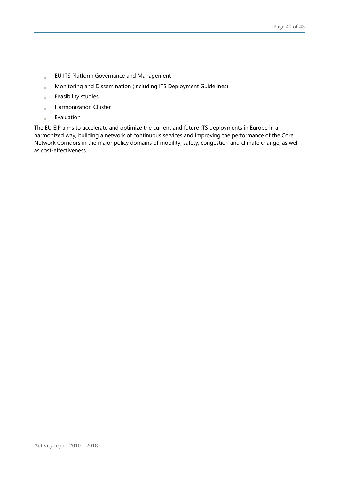- EU ITS Platform Governance and Management à.
- Monitoring and Dissemination (including ITS Deployment Guidelines) ä
- Feasibility studies à.
- Harmonization Cluster à.
- Evaluation à.

The EU EIP aims to accelerate and optimize the current and future ITS deployments in Europe in a harmonized way, building a network of continuous services and improving the performance of the Core Network Corridors in the major policy domains of mobility, safety, congestion and climate change, as well as cost-effectiveness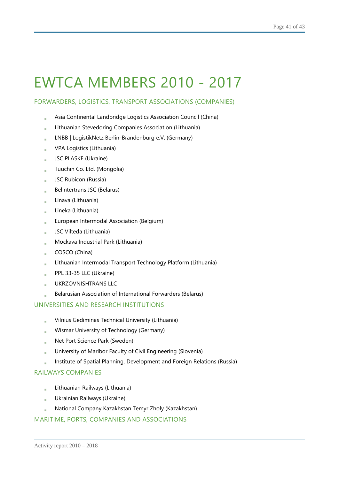# EWTCA MEMBERS 2010 - 2017

## FORWARDERS, LOGISTICS, TRANSPORT ASSOCIATIONS (COMPANIES)

- Asia Continental Landbridge Logistics Association Council (China)
- Lithuanian Stevedoring Companies Association (Lithuania)
- LNBB | LogistikNetz Berlin-Brandenburg e.V. (Germany)
- VPA Logistics (Lithuania)
- JSC PLASKE (Ukraine)
- Tuuchin Co. Ltd. (Mongolia) a.
- JSC Rubicon (Russia)
- Belintertrans JSC (Belarus)
- Linava (Lithuania)  $\alpha$
- Lineka (Lithuania)
- European Intermodal Association (Belgium)
- JSC Vilteda (Lithuania)
- Mockava Industrial Park (Lithuania)
- COSCO (China)
- Lithuanian Intermodal Transport Technology Platform (Lithuania)
- PPL 33-35 LLC (Ukraine)
- UKRZOVNISHTRANS LLC
- Belarusian Association of International Forwarders (Belarus)

## UNIVERSITIES AND RESEARCH INSTITUTIONS

- Vilnius Gediminas Technical University (Lithuania)
- Wismar University of Technology (Germany)
- Net Port Science Park (Sweden)  $\mathbf{m}$  .
- University of Maribor Faculty of Civil Engineering (Slovenia)
- Institute of Spatial Planning, Development and Foreign Relations (Russia)

## RAILWAYS COMPANIES

- Lithuanian Railways (Lithuania)
- Ukrainian Railways (Ukraine)  $\alpha$
- National Company Kazakhstan Temyr Zholy (Kazakhstan)

## MARITIME, PORTS, COMPANIES AND ASSOCIATIONS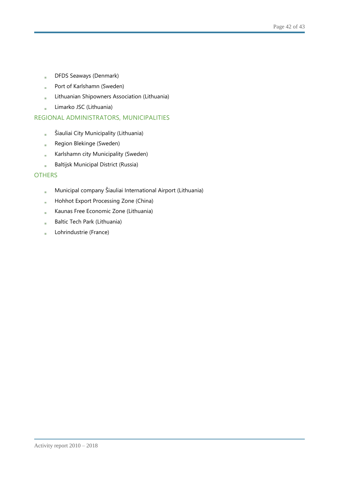- DFDS Seaways (Denmark)  $\bar{a}$
- Port of Karlshamn (Sweden)  $\bar{a}$
- Lithuanian Shipowners Association (Lithuania)  $\bar{a}$
- Limarko JSC (Lithuania) i.

## REGIONAL ADMINISTRATORS, MUNICIPALITIES

- Šiauliai City Municipality (Lithuania)  $\frac{1}{2}$
- Region Blekinge (Sweden) à.
- Karlshamn city Municipality (Sweden)
- Baltijsk Municipal District (Russia) i.

## **OTHERS**

- Municipal company Šiauliai International Airport (Lithuania) à.
- Hohhot Export Processing Zone (China) a.
- Kaunas Free Economic Zone (Lithuania) à.
- Baltic Tech Park (Lithuania)
- Lohrindustrie (France)